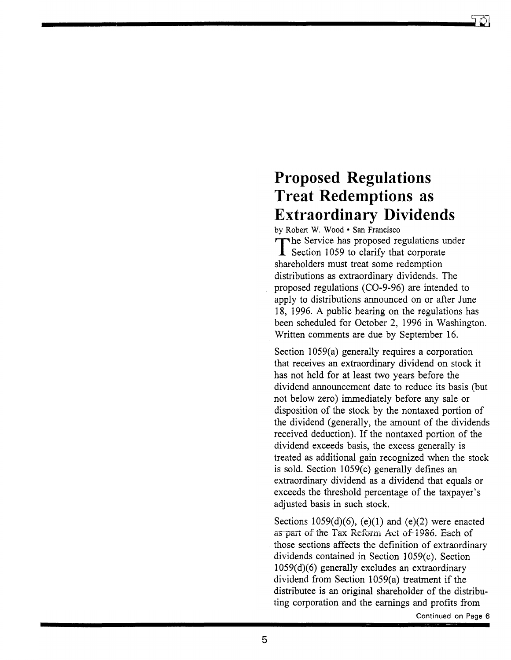## **Proposed Regulations Treat Redemptions as Extraordinary Dividends**

by Robert W. Wood · San Francisco The Service has proposed regulations under **I** Section 1059 to clarify that corporate shareholders must treat some redemption distributions as extraordinary dividends. The proposed regulations (CO-9-96) are intended to apply to distributions announced on or after June 18, 1996. A public hearing on the regulations has been scheduled for October 2, 1996 in Washington. Written comments are due by September 16.

Section 1059(a) generally requires a corporation that receives an extraordinary dividend on stock it has not held for at least two years before the dividend announcement date to reduce its basis (but not below zero) immediately before any sale or disposition of the stock by the nontaxed portion of the dividend (generally, the amount of the dividends received deduction). If the nontaxed portion of the dividend exceeds basis, the excess generally is treated as additional gain recognized when the stock is sold. Section  $1059(c)$  generally defines an extraordinary dividend as a dividend that equals or exceeds the threshold percentage of the taxpayer's adjusted basis in such stock.

Sections  $1059(d)(6)$ , (e)(1) and (e)(2) were enacted as part of the Tax Reform Act of 1986. Each of those sections affects the definition of extraordinary dividends contained in Section 1059(c). Section 1059(d)(6) generally excludes an extraordinary dividend from Section 1059(a) treatment if the distributee is an original shareholder of the distributing corporation and the earnings and profits from

Continued on Page 6